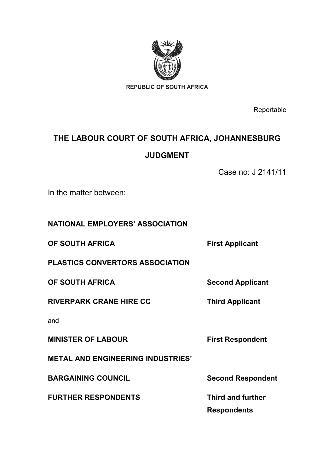

**Reportable** 

# **THE LABOUR COURT OF SOUTH AFRICA, JOHANNESBURG JUDGMENT**

Case no: J 2141/11

In the matter between:

**NATIONAL EMPLOYERS' ASSOCIATION**

**OF SOUTH AFRICA First Applicant** 

**PLASTICS CONVERTORS ASSOCIATION**

**OF SOUTH AFRICA Second Applicant** 

**RIVERPARK CRANE HIRE CC** Third Applicant

and

**MINISTER OF LABOUR First Respondent**

**METAL AND ENGINEERING INDUSTRIES'**

**BARGAINING COUNCIL** Second Respondent

**FURTHER RESPONDENTS Third and further**

**Respondents**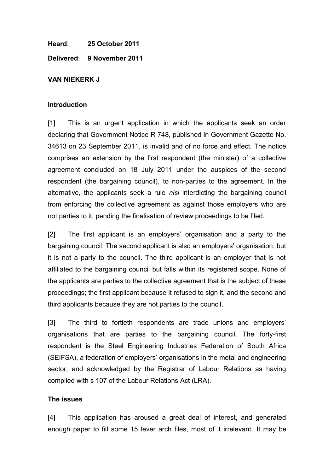**Heard**: **25 October 2011**

**Delivered**: **9 November 2011**

### **VAN NIEKERK J**

### **Introduction**

[1] This is an urgent application in which the applicants seek an order declaring that Government Notice R 748, published in Government Gazette No. 34613 on 23 September 2011, is invalid and of no force and effect. The notice comprises an extension by the first respondent (the minister) of a collective agreement concluded on 18 July 2011 under the auspices of the second respondent (the bargaining council), to non-parties to the agreement. In the alternative, the applicants seek a rule *nisi* interdicting the bargaining council from enforcing the collective agreement as against those employers who are not parties to it, pending the finalisation of review proceedings to be filed.

[2] The first applicant is an employers' organisation and a party to the bargaining council. The second applicant is also an employers' organisation, but it is not a party to the council. The third applicant is an employer that is not affiliated to the bargaining council but falls within its registered scope. None of the applicants are parties to the collective agreement that is the subject of these proceedings; the first applicant because it refused to sign it, and the second and third applicants because they are not parties to the council.

[3] The third to fortieth respondents are trade unions and employers' organisations that are parties to the bargaining council. The forty-first respondent is the Steel Engineering Industries Federation of South Africa (SEIFSA), a federation of employers' organisations in the metal and engineering sector, and acknowledged by the Registrar of Labour Relations as having complied with s 107 of the Labour Relations Act (LRA).

### **The issues**

[4] This application has aroused a great deal of interest, and generated enough paper to fill some 15 lever arch files, most of it irrelevant. It may be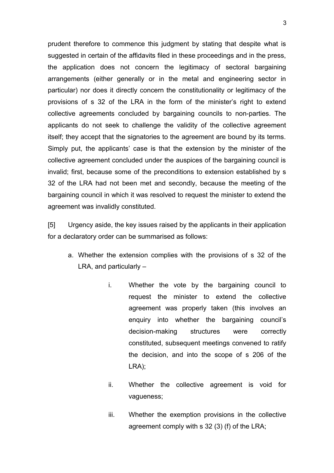prudent therefore to commence this judgment by stating that despite what is suggested in certain of the affidavits filed in these proceedings and in the press, the application does not concern the legitimacy of sectoral bargaining arrangements (either generally or in the metal and engineering sector in particular) nor does it directly concern the constitutionality or legitimacy of the provisions of s 32 of the LRA in the form of the minister's right to extend collective agreements concluded by bargaining councils to non-parties. The applicants do not seek to challenge the validity of the collective agreement itself; they accept that the signatories to the agreement are bound by its terms. Simply put, the applicants' case is that the extension by the minister of the collective agreement concluded under the auspices of the bargaining council is invalid; first, because some of the preconditions to extension established by s 32 of the LRA had not been met and secondly, because the meeting of the bargaining council in which it was resolved to request the minister to extend the agreement was invalidly constituted.

[5] Urgency aside, the key issues raised by the applicants in their application for a declaratory order can be summarised as follows:

- a. Whether the extension complies with the provisions of s 32 of the LRA, and particularly –
	- i. Whether the vote by the bargaining council to request the minister to extend the collective agreement was properly taken (this involves an enquiry into whether the bargaining council's decision-making structures were correctly constituted, subsequent meetings convened to ratify the decision, and into the scope of s 206 of the LRA);
	- ii. Whether the collective agreement is void for vagueness;
	- iii. Whether the exemption provisions in the collective agreement comply with s 32 (3) (f) of the LRA;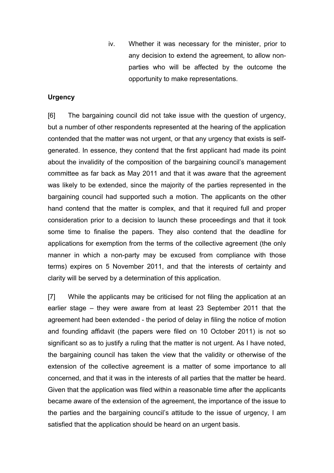iv. Whether it was necessary for the minister, prior to any decision to extend the agreement, to allow nonparties who will be affected by the outcome the opportunity to make representations.

## **Urgency**

[6] The bargaining council did not take issue with the question of urgency, but a number of other respondents represented at the hearing of the application contended that the matter was not urgent, or that any urgency that exists is selfgenerated. In essence, they contend that the first applicant had made its point about the invalidity of the composition of the bargaining council's management committee as far back as May 2011 and that it was aware that the agreement was likely to be extended, since the majority of the parties represented in the bargaining council had supported such a motion. The applicants on the other hand contend that the matter is complex, and that it required full and proper consideration prior to a decision to launch these proceedings and that it took some time to finalise the papers. They also contend that the deadline for applications for exemption from the terms of the collective agreement (the only manner in which a non-party may be excused from compliance with those terms) expires on 5 November 2011, and that the interests of certainty and clarity will be served by a determination of this application.

[7] While the applicants may be criticised for not filing the application at an earlier stage – they were aware from at least 23 September 2011 that the agreement had been extended - the period of delay in filing the notice of motion and founding affidavit (the papers were filed on 10 October 2011) is not so significant so as to justify a ruling that the matter is not urgent. As I have noted, the bargaining council has taken the view that the validity or otherwise of the extension of the collective agreement is a matter of some importance to all concerned, and that it was in the interests of all parties that the matter be heard. Given that the application was filed within a reasonable time after the applicants became aware of the extension of the agreement, the importance of the issue to the parties and the bargaining council's attitude to the issue of urgency, I am satisfied that the application should be heard on an urgent basis.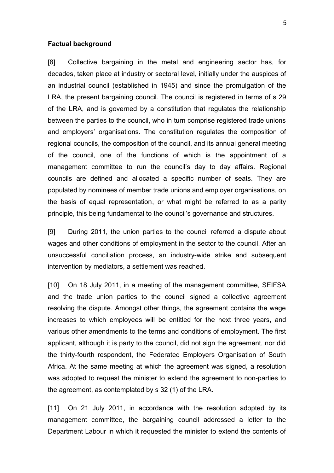#### **Factual background**

[8] Collective bargaining in the metal and engineering sector has, for decades, taken place at industry or sectoral level, initially under the auspices of an industrial council (established in 1945) and since the promulgation of the LRA, the present bargaining council. The council is registered in terms of s 29 of the LRA, and is governed by a constitution that regulates the relationship between the parties to the council, who in turn comprise registered trade unions and employers' organisations. The constitution regulates the composition of regional councils, the composition of the council, and its annual general meeting of the council, one of the functions of which is the appointment of a management committee to run the council's day to day affairs. Regional councils are defined and allocated a specific number of seats. They are populated by nominees of member trade unions and employer organisations, on the basis of equal representation, or what might be referred to as a parity principle, this being fundamental to the council's governance and structures.

[9] During 2011, the union parties to the council referred a dispute about wages and other conditions of employment in the sector to the council. After an unsuccessful conciliation process, an industry-wide strike and subsequent intervention by mediators, a settlement was reached.

[10] On 18 July 2011, in a meeting of the management committee, SEIFSA and the trade union parties to the council signed a collective agreement resolving the dispute. Amongst other things, the agreement contains the wage increases to which employees will be entitled for the next three years, and various other amendments to the terms and conditions of employment. The first applicant, although it is party to the council, did not sign the agreement, nor did the thirty-fourth respondent, the Federated Employers Organisation of South Africa. At the same meeting at which the agreement was signed, a resolution was adopted to request the minister to extend the agreement to non-parties to the agreement, as contemplated by s 32 (1) of the LRA.

[11] On 21 July 2011, in accordance with the resolution adopted by its management committee, the bargaining council addressed a letter to the Department Labour in which it requested the minister to extend the contents of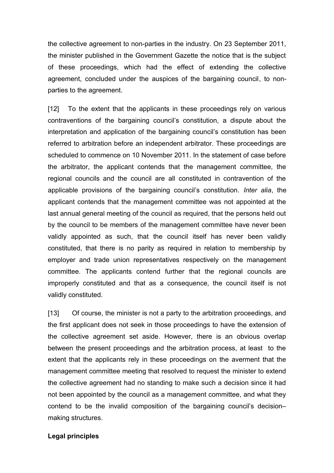the collective agreement to non-parties in the industry. On 23 September 2011, the minister published in the Government Gazette the notice that is the subject of these proceedings, which had the effect of extending the collective agreement, concluded under the auspices of the bargaining council, to nonparties to the agreement.

[12] To the extent that the applicants in these proceedings rely on various contraventions of the bargaining council's constitution, a dispute about the interpretation and application of the bargaining council's constitution has been referred to arbitration before an independent arbitrator. These proceedings are scheduled to commence on 10 November 2011. In the statement of case before the arbitrator, the applicant contends that the management committee, the regional councils and the council are all constituted in contravention of the applicable provisions of the bargaining council's constitution. *Inter alia*, the applicant contends that the management committee was not appointed at the last annual general meeting of the council as required, that the persons held out by the council to be members of the management committee have never been validly appointed as such, that the council itself has never been validly constituted, that there is no parity as required in relation to membership by employer and trade union representatives respectively on the management committee. The applicants contend further that the regional councils are improperly constituted and that as a consequence, the council itself is not validly constituted.

[13] Of course, the minister is not a party to the arbitration proceedings, and the first applicant does not seek in those proceedings to have the extension of the collective agreement set aside. However, there is an obvious overlap between the present proceedings and the arbitration process, at least to the extent that the applicants rely in these proceedings on the averment that the management committee meeting that resolved to request the minister to extend the collective agreement had no standing to make such a decision since it had not been appointed by the council as a management committee, and what they contend to be the invalid composition of the bargaining council's decision– making structures.

### **Legal principles**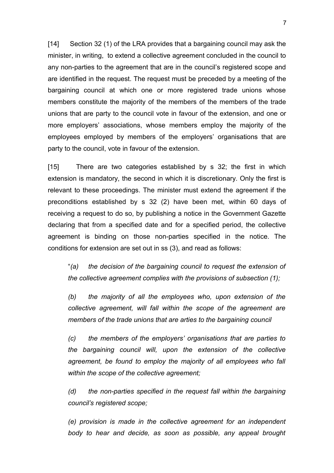[14] Section 32 (1) of the LRA provides that a bargaining council may ask the minister, in writing, to extend a collective agreement concluded in the council to any non-parties to the agreement that are in the council's registered scope and are identified in the request. The request must be preceded by a meeting of the bargaining council at which one or more registered trade unions whose members constitute the majority of the members of the members of the trade unions that are party to the council vote in favour of the extension, and one or more employers' associations, whose members employ the majority of the employees employed by members of the employers' organisations that are party to the council, vote in favour of the extension.

[15] There are two categories established by s 32; the first in which extension is mandatory, the second in which it is discretionary. Only the first is relevant to these proceedings. The minister must extend the agreement if the preconditions established by s 32 (2) have been met, within 60 days of receiving a request to do so, by publishing a notice in the Government Gazette declaring that from a specified date and for a specified period, the collective agreement is binding on those non-parties specified in the notice. The conditions for extension are set out in ss (3), and read as follows:

"*(a) the decision of the bargaining council to request the extension of the collective agreement complies with the provisions of subsection (1);*

*(b) the majority of all the employees who, upon extension of the collective agreement, will fall within the scope of the agreement are members of the trade unions that are arties to the bargaining council*

*(c) the members of the employers' organisations that are parties to the bargaining council will, upon the extension of the collective agreement, be found to employ the majority of all employees who fall within the scope of the collective agreement;*

*(d) the non-parties specified in the request fall within the bargaining council's registered scope;*

*(e) provision is made in the collective agreement for an independent body to hear and decide, as soon as possible, any appeal brought*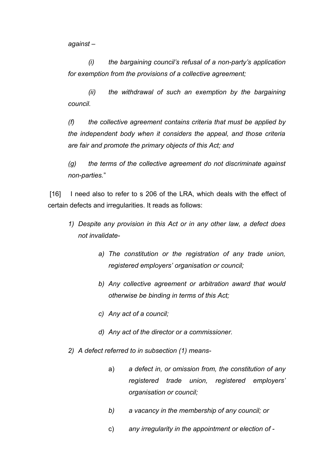*against –*

*(i) the bargaining council's refusal of a non-party's application for exemption from the provisions of a collective agreement;*

*(ii) the withdrawal of such an exemption by the bargaining council.*

*(f) the collective agreement contains criteria that must be applied by the independent body when it considers the appeal, and those criteria are fair and promote the primary objects of this Act; and*

*(g) the terms of the collective agreement do not discriminate against non-parties.*"

[16] I need also to refer to s 206 of the LRA, which deals with the effect of certain defects and irregularities. It reads as follows:

- *1) Despite any provision in this Act or in any other law, a defect does not invalidate*
	- *a) The constitution or the registration of any trade union, registered employers' organisation or council;*
	- *b) Any collective agreement or arbitration award that would otherwise be binding in terms of this Act;*
	- *c) Any act of a council;*
	- *d) Any act of the director or a commissioner.*
- *2) A defect referred to in subsection (1) means*
	- a) *a defect in, or omission from, the constitution of any registered trade union, registered employers' organisation or council;*
	- *b) a vacancy in the membership of any council; or*
	- c) *any irregularity in the appointment or election of -*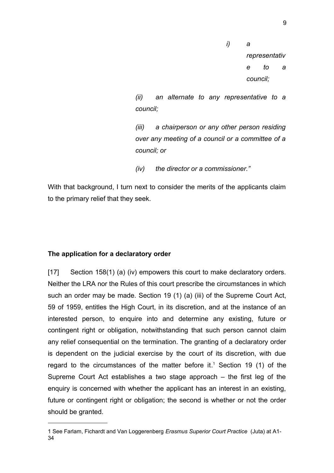*i) a representativ e to a council;*

*(ii) an alternate to any representative to a council;*

*(iii) a chairperson or any other person residing over any meeting of a council or a committee of a council; or*

*(iv) the director or a commissioner."*

With that background, I turn next to consider the merits of the applicants claim to the primary relief that they seek.

## **The application for a declaratory order**

[17] Section 158(1) (a) (iv) empowers this court to make declaratory orders. Neither the LRA nor the Rules of this court prescribe the circumstances in which such an order may be made. Section 19 (1) (a) (iii) of the Supreme Court Act, 59 of 1959, entitles the High Court, in its discretion, and at the instance of an interested person, to enquire into and determine any existing, future or contingent right or obligation, notwithstanding that such person cannot claim any relief consequential on the termination. The granting of a declaratory order is dependent on the judicial exercise by the court of its discretion, with due regard to the circumstances of the matter before it.<sup>[1](#page-8-0)</sup> Section 19 (1) of the Supreme Court Act establishes a two stage approach – the first leg of the enquiry is concerned with whether the applicant has an interest in an existing, future or contingent right or obligation; the second is whether or not the order should be granted.

<span id="page-8-0"></span><sup>1</sup> See Farlam, Fichardt and Van Loggerenberg *Erasmus Superior Court Practice* (Juta) at A1- 34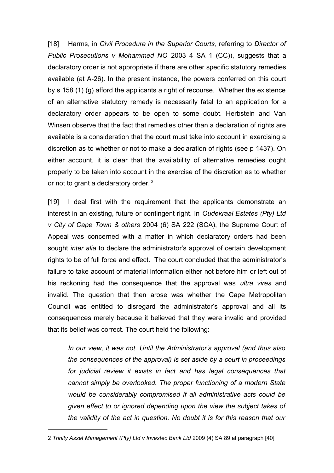[18] Harms, in *Civil Procedure in the Superior Courts*, referring to *Director of Public Prosecutions v Mohammed NO* 2003 4 SA 1 (CC)), suggests that a declaratory order is not appropriate if there are other specific statutory remedies available (at A-26). In the present instance, the powers conferred on this court by s 158 (1) (g) afford the applicants a right of recourse. Whether the existence of an alternative statutory remedy is necessarily fatal to an application for a declaratory order appears to be open to some doubt. Herbstein and Van Winsen observe that the fact that remedies other than a declaration of rights are available is a consideration that the court must take into account in exercising a discretion as to whether or not to make a declaration of rights (see p 1437). On either account, it is clear that the availability of alternative remedies ought properly to be taken into account in the exercise of the discretion as to whether or not to grant a declaratory order.<sup>[2](#page-9-0)</sup>

[19] I deal first with the requirement that the applicants demonstrate an interest in an existing, future or contingent right. In *Oudekraal Estates (Pty) Ltd v City of Cape Town & others* 2004 (6) SA 222 (SCA), the Supreme Court of Appeal was concerned with a matter in which declaratory orders had been sought *inter alia* to declare the administrator's approval of certain development rights to be of full force and effect. The court concluded that the administrator's failure to take account of material information either not before him or left out of his reckoning had the consequence that the approval was *ultra vires* and invalid. The question that then arose was whether the Cape Metropolitan Council was entitled to disregard the administrator's approval and all its consequences merely because it believed that they were invalid and provided that its belief was correct. The court held the following:

*In our view, it was not. Until the Administrator's approval (and thus also the consequences of the approval) is set aside by a court in proceedings for judicial review it exists in fact and has legal consequences that cannot simply be overlooked. The proper functioning of a modern State would be considerably compromised if all administrative acts could be given effect to or ignored depending upon the view the subject takes of the validity of the act in question. No doubt it is for this reason that our*

<span id="page-9-0"></span><sup>2</sup> *Trinity Asset Management (Pty) Ltd v Investec Bank Ltd* 2009 (4) SA 89 at paragraph [40]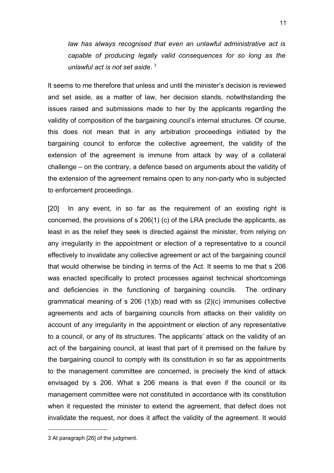*law has always recognised that even an unlawful administrative act is capable of producing legally valid consequences for so long as the unlawful act is not set aside*. [3](#page-10-0)

It seems to me therefore that unless and until the minister's decision is reviewed and set aside, as a matter of law, her decision stands, notwithstanding the issues raised and submissions made to her by the applicants regarding the validity of composition of the bargaining council's internal structures. Of course, this does not mean that in any arbitration proceedings initiated by the bargaining council to enforce the collective agreement, the validity of the extension of the agreement is immune from attack by way of a collateral challenge – on the contrary, a defence based on arguments about the validity of the extension of the agreement remains open to any non-party who is subjected to enforcement proceedings.

[20] In any event, in so far as the requirement of an existing right is concerned, the provisions of s 206(1) (c) of the LRA preclude the applicants, as least in as the relief they seek is directed against the minister, from relying on any irregularity in the appointment or election of a representative to a council effectively to invalidate any collective agreement or act of the bargaining council that would otherwise be binding in terms of the Act. It seems to me that s 206 was enacted specifically to protect processes against technical shortcomings and deficiencies in the functioning of bargaining councils. The ordinary grammatical meaning of s 206 (1)(b) read with ss (2)(c) immunises collective agreements and acts of bargaining councils from attacks on their validity on account of any irregularity in the appointment or election of any representative to a council, or any of its structures. The applicants' attack on the validity of an act of the bargaining council, at least that part of it premised on the failure by the bargaining council to comply with its constitution in so far as appointments to the management committee are concerned, is precisely the kind of attack envisaged by s 206. What s 206 means is that even if the council or its management committee were not constituted in accordance with its constitution when it requested the minister to extend the agreement, that defect does not invalidate the request, nor does it affect the validity of the agreement. It would

<span id="page-10-0"></span><sup>3</sup> At paragraph [26] of the judgment.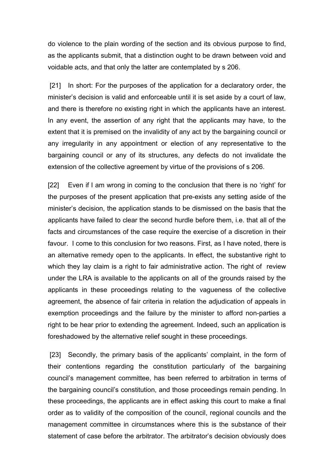do violence to the plain wording of the section and its obvious purpose to find, as the applicants submit, that a distinction ought to be drawn between void and voidable acts, and that only the latter are contemplated by s 206.

 [21] In short: For the purposes of the application for a declaratory order, the minister's decision is valid and enforceable until it is set aside by a court of law, and there is therefore no existing right in which the applicants have an interest. In any event, the assertion of any right that the applicants may have, to the extent that it is premised on the invalidity of any act by the bargaining council or any irregularity in any appointment or election of any representative to the bargaining council or any of its structures, any defects do not invalidate the extension of the collective agreement by virtue of the provisions of s 206.

[22] Even if I am wrong in coming to the conclusion that there is no 'right' for the purposes of the present application that pre-exists any setting aside of the minister's decision, the application stands to be dismissed on the basis that the applicants have failed to clear the second hurdle before them, i.e. that all of the facts and circumstances of the case require the exercise of a discretion in their favour. I come to this conclusion for two reasons. First, as I have noted, there is an alternative remedy open to the applicants. In effect, the substantive right to which they lay claim is a right to fair administrative action. The right of review under the LRA is available to the applicants on all of the grounds raised by the applicants in these proceedings relating to the vagueness of the collective agreement, the absence of fair criteria in relation the adjudication of appeals in exemption proceedings and the failure by the minister to afford non-parties a right to be hear prior to extending the agreement. Indeed, such an application is foreshadowed by the alternative relief sought in these proceedings.

 [23] Secondly, the primary basis of the applicants' complaint, in the form of their contentions regarding the constitution particularly of the bargaining council's management committee, has been referred to arbitration in terms of the bargaining council's constitution, and those proceedings remain pending. In these proceedings, the applicants are in effect asking this court to make a final order as to validity of the composition of the council, regional councils and the management committee in circumstances where this is the substance of their statement of case before the arbitrator. The arbitrator's decision obviously does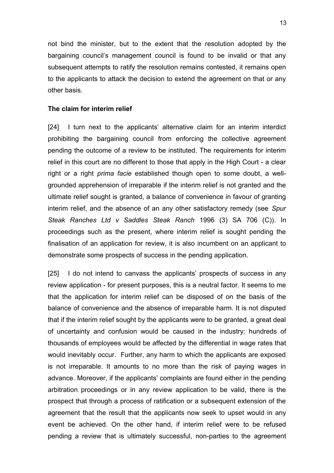not bind the minister, but to the extent that the resolution adopted by the bargaining council's management council is found to be invalid or that any subsequent attempts to ratify the resolution remains contested, it remains open to the applicants to attack the decision to extend the agreement on that or any other basis.

#### **The claim for interim relief**

[24] I turn next to the applicants' alternative claim for an interim interdict prohibiting the bargaining council from enforcing the collective agreement pending the outcome of a review to be instituted. The requirements for interim relief in this court are no different to those that apply in the High Court - a clear right or a right *prima facie* established though open to some doubt, a wellgrounded apprehension of irreparable if the interim relief is not granted and the ultimate relief sought is granted, a balance of convenience in favour of granting interim relief, and the absence of an any other satisfactory remedy (see *Spur Steak Ranches Ltd v Saddles Steak Ranch* 1996 (3) SA 706 (C)). In proceedings such as the present, where interim relief is sought pending the finalisation of an application for review, it is also incumbent on an applicant to demonstrate some prospects of success in the pending application.

[25] I do not intend to canvass the applicants' prospects of success in any review application - for present purposes, this is a neutral factor. It seems to me that the application for interim relief can be disposed of on the basis of the balance of convenience and the absence of irreparable harm. It is not disputed that if the interim relief sought by the applicants were to be granted, a great deal of uncertainty and confusion would be caused in the industry; hundreds of thousands of employees would be affected by the differential in wage rates that would inevitably occur. Further, any harm to which the applicants are exposed is not irreparable. It amounts to no more than the risk of paying wages in advance. Moreover, if the applicants' complaints are found either in the pending arbitration proceedings or in any review application to be valid, there is the prospect that through a process of ratification or a subsequent extension of the agreement that the result that the applicants now seek to upset would in any event be achieved. On the other hand, if interim relief were to be refused pending a review that is ultimately successful, non-parties to the agreement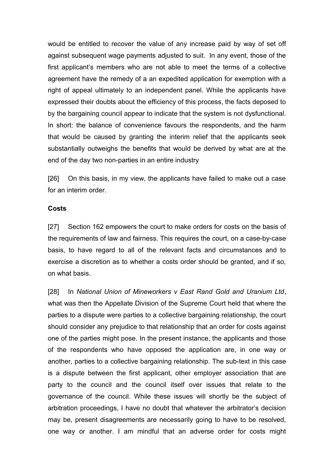would be entitled to recover the value of any increase paid by way of set off against subsequent wage payments adjusted to suit. In any event, those of the first applicant's members who are not able to meet the terms of a collective agreement have the remedy of a an expedited application for exemption with a right of appeal ultimately to an independent panel. While the applicants have expressed their doubts about the efficiency of this process, the facts deposed to by the bargaining council appear to indicate that the system is not dysfunctional. In short: the balance of convenience favours the respondents, and the harm that would be caused by granting the interim relief that the applicants seek substantially outweighs the benefits that would be derived by what are at the end of the day two non-parties in an entire industry

[26] On this basis, in my view, the applicants have failed to make out a case for an interim order.

#### **Costs**

[27] Section 162 empowers the court to make orders for costs on the basis of the requirements of law and fairness. This requires the court, on a case-by-case basis, to have regard to all of the relevant facts and circumstances and to exercise a discretion as to whether a costs order should be granted, and if so, on what basis.

[28] In *National Union of Mineworkers v East Rand Gold and Uranium Ltd*, what was then the Appellate Division of the Supreme Court held that where the parties to a dispute were parties to a collective bargaining relationship, the court should consider any prejudice to that relationship that an order for costs against one of the parties might pose. In the present instance, the applicants and those of the respondents who have opposed the application are, in one way or another, parties to a collective bargaining relationship. The sub-text in this case is a dispute between the first applicant, other employer association that are party to the council and the council itself over issues that relate to the governance of the council. While these issues will shortly be the subject of arbitration proceedings, I have no doubt that whatever the arbitrator's decision may be, present disagreements are necessarily going to have to be resolved, one way or another. I am mindful that an adverse order for costs might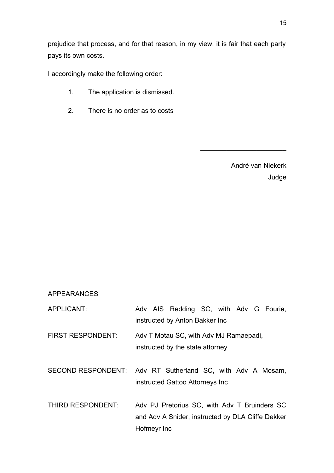prejudice that process, and for that reason, in my view, it is fair that each party pays its own costs.

I accordingly make the following order:

- 1. The application is dismissed.
- 2. There is no order as to costs

André van Niekerk Judge

 $\frac{1}{2}$  , where  $\frac{1}{2}$  , where  $\frac{1}{2}$  , where  $\frac{1}{2}$ 

### APPEARANCES

APPLICANT: Adv AIS Redding SC, with Adv G Fourie, instructed by Anton Bakker Inc

FIRST RESPONDENT: Adv T Motau SC, with Adv MJ Ramaepadi, instructed by the state attorney

SECOND RESPONDENT: Adv RT Sutherland SC, with Adv A Mosam, instructed Gattoo Attorneys Inc

THIRD RESPONDENT: Adv PJ Pretorius SC, with Adv T Bruinders SC and Adv A Snider, instructed by DLA Cliffe Dekker Hofmeyr Inc